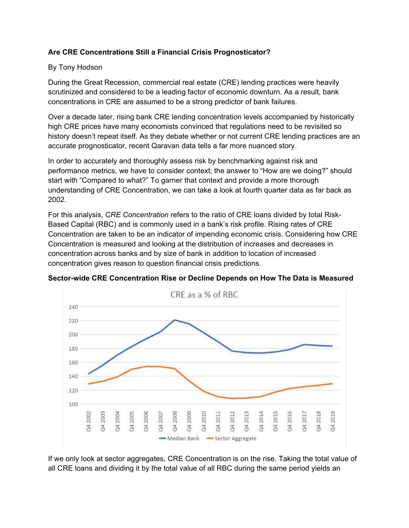## **Are CRE Concentrations Still a Financial Crisis Prognosticator?**

#### By Tony Hodson

During the Great Recession, commercial real estate (CRE) lending practices were heavily scrutinized and considered to be a leading factor of economic downturn. As a result, bank concentrations in CRE are assumed to be a strong predictor of bank failures.

Over a decade later, rising bank CRE lending concentration levels accompanied by historically high CRE prices have many economists convinced that regulations need to be revisited so history doesn't repeat itself. As they debate whether or not current CRE lending practices are an accurate prognosticator, recent Qaravan data tells a far more nuanced story.

In order to accurately and thoroughly assess risk by benchmarking against risk and performance metrics, we have to consider context; the answer to "How are we doing?" should start with "Compared to what?" To garner that context and provide a more thorough understanding of CRE Concentration, we can take a look at fourth quarter data as far back as 2002.

For this analysis, *CRE Concentration* refers to the ratio of CRE loans divided by total Risk-Based Capital (RBC) and is commonly used in a bank's risk profile. Rising rates of CRE Concentration are taken to be an indicator of impending economic crisis. Considering how CRE Concentration is measured and looking at the distribution of increases and decreases in concentration across banks and by size of bank in addition to location of increased concentration gives reason to question financial crisis predictions.



**Sector-wide CRE Concentration Rise or Decline Depends on How The Data is Measured**

If we only look at sector aggregates, CRE Concentration is on the rise. Taking the total value of all CRE loans and dividing it by the total value of all RBC during the same period yields an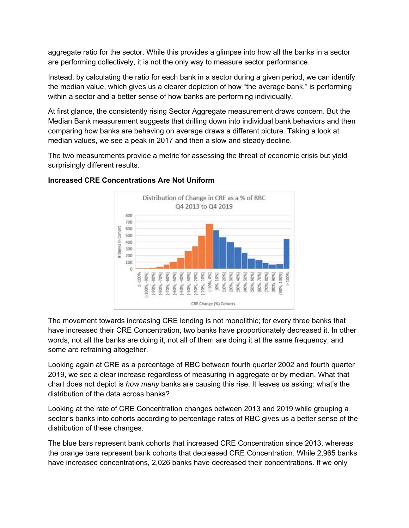aggregate ratio for the sector. While this provides a glimpse into how all the banks in a sector are performing collectively, it is not the only way to measure sector performance.

Instead, by calculating the ratio for each bank in a sector during a given period, we can identify the median value, which gives us a clearer depiction of how "the average bank," is performing within a sector and a better sense of how banks are performing individually.

At first glance, the consistently rising Sector Aggregate measurement draws concern. But the Median Bank measurement suggests that drilling down into individual bank behaviors and then comparing how banks are behaving on average draws a different picture. Taking a look at median values, we see a peak in 2017 and then a slow and steady decline.

The two measurements provide a metric for assessing the threat of economic crisis but yield surprisingly different results.



## **Increased CRE Concentrations Are Not Uniform**

The movement towards increasing CRE lending is not monolithic; for every three banks that have increased their CRE Concentration, two banks have proportionately decreased it. In other words, not all the banks are doing it, not all of them are doing it at the same frequency, and some are refraining altogether.

Looking again at CRE as a percentage of RBC between fourth quarter 2002 and fourth quarter 2019, we see a clear increase regardless of measuring in aggregate or by median. What that chart does not depict is *how many* banks are causing this rise. It leaves us asking: what's the distribution of the data across banks?

Looking at the rate of CRE Concentration changes between 2013 and 2019 while grouping a sector's banks into cohorts according to percentage rates of RBC gives us a better sense of the distribution of these changes.

The blue bars represent bank cohorts that increased CRE Concentration since 2013, whereas the orange bars represent bank cohorts that decreased CRE Concentration. While 2,965 banks have increased concentrations, 2,026 banks have decreased their concentrations. If we only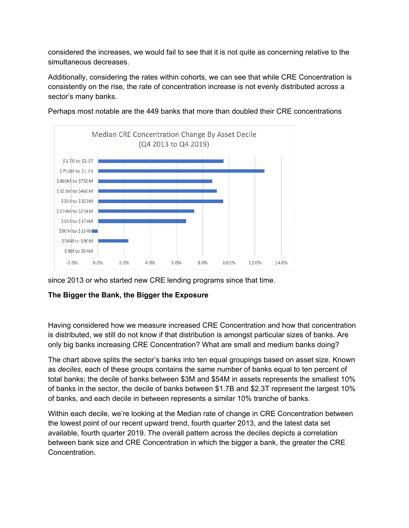considered the increases, we would fail to see that it is not quite as concerning relative to the simultaneous decreases.

Additionally, considering the rates within cohorts, we can see that while CRE Concentration is consistently on the rise, the rate of concentration increase is not evenly distributed across a sector's many banks.



Perhaps most notable are the 449 banks that more than doubled their CRE concentrations

since 2013 or who started new CRE lending programs since that time.

## **The Bigger the Bank, the Bigger the Exposure**

Having considered how we measure increased CRE Concentration and how that concentration is distributed, we still do not know if that distribution is amongst particular sizes of banks. Are only big banks increasing CRE Concentration? What are small and medium banks doing?

The chart above splits the sector's banks into ten equal groupings based on asset size. Known as *deciles*, each of these groups contains the same number of banks equal to ten percent of total banks; the decile of banks between \$3M and \$54M in assets represents the smallest 10% of banks in the sector, the decile of banks between \$1.7B and \$2.3T represent the largest 10% of banks, and each decile in between represents a similar 10% tranche of banks.

Within each decile, we're looking at the Median rate of change in CRE Concentration between the lowest point of our recent upward trend, fourth quarter 2013, and the latest data set available, fourth quarter 2019. The overall pattern across the deciles depicts a correlation between bank size and CRE Concentration in which the bigger a bank, the greater the CRE Concentration.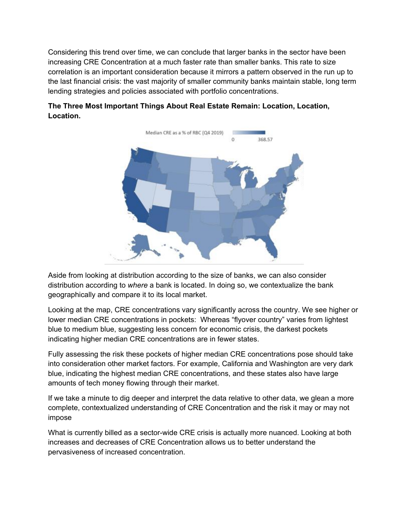Considering this trend over time, we can conclude that larger banks in the sector have been increasing CRE Concentration at a much faster rate than smaller banks. This rate to size correlation is an important consideration because it mirrors a pattern observed in the run up to the last financial crisis: the vast majority of smaller community banks maintain stable, long term lending strategies and policies associated with portfolio concentrations.



# **The Three Most Important Things About Real Estate Remain: Location, Location, Location.**

Aside from looking at distribution according to the size of banks, we can also consider distribution according to *where* a bank is located. In doing so, we contextualize the bank geographically and compare it to its local market.

Looking at the map, CRE concentrations vary significantly across the country. We see higher or lower median CRE concentrations in pockets: Whereas "flyover country" varies from lightest blue to medium blue, suggesting less concern for economic crisis, the darkest pockets indicating higher median CRE concentrations are in fewer states.

Fully assessing the risk these pockets of higher median CRE concentrations pose should take into consideration other market factors. For example, California and Washington are very dark blue, indicating the highest median CRE concentrations, and these states also have large amounts of tech money flowing through their market.

If we take a minute to dig deeper and interpret the data relative to other data, we glean a more complete, contextualized understanding of CRE Concentration and the risk it may or may not impose

What is currently billed as a sector-wide CRE crisis is actually more nuanced. Looking at both increases and decreases of CRE Concentration allows us to better understand the pervasiveness of increased concentration.